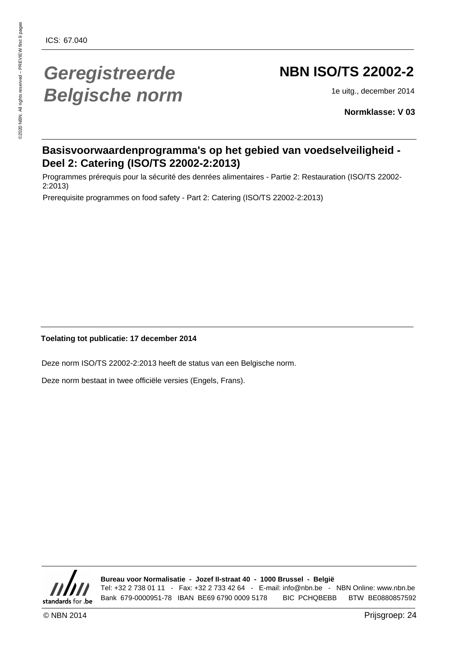# **Geregistreerde Belgische norm**

# **NBN ISO/TS 22002-2**

1e uitg., december 2014

**Normklasse: V 03**

#### **Basisvoorwaardenprogramma's op het gebied van voedselveiligheid - Deel 2: Catering (ISO/TS 22002-2:2013)**

Programmes prérequis pour la sécurité des denrées alimentaires - Partie 2: Restauration (ISO/TS 22002- 2:2013)

Prerequisite programmes on food safety - Part 2: Catering (ISO/TS 22002-2:2013)

**Toelating tot publicatie: 17 december 2014**

Deze norm ISO/TS 22002-2:2013 heeft de status van een Belgische norm.

Deze norm bestaat in twee officiële versies (Engels, Frans).



**Bureau voor Normalisatie - Jozef II-straat 40 - 1000 Brussel - België** Tel: +32 2 738 01 11 - Fax: +32 2 733 42 64 - E-mail: info@nbn.be - NBN Online: www.nbn.be Bank 679-0000951-78 IBAN BE69 6790 0009 5178 BIC PCHQBEBB BTW BE0880857592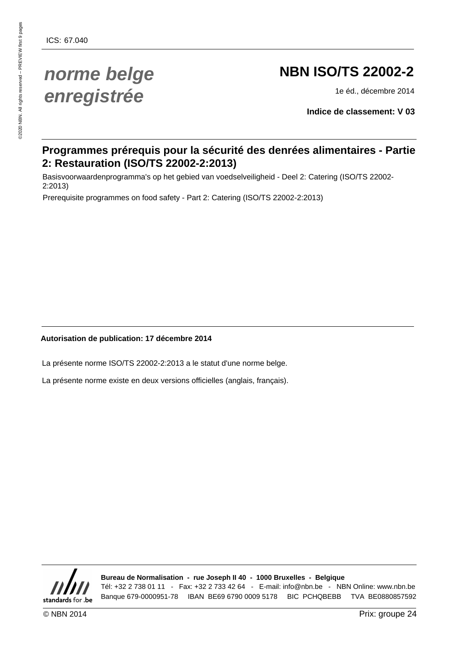# **NBN ISO/TS 22002-2**

1e éd., décembre 2014

**Indice de classement: V 03**

#### **Programmes prérequis pour la sécurité des denrées alimentaires - Partie 2: Restauration (ISO/TS 22002-2:2013)**

Basisvoorwaardenprogramma's op het gebied van voedselveiligheid - Deel 2: Catering (ISO/TS 22002- 2:2013)

Prerequisite programmes on food safety - Part 2: Catering (ISO/TS 22002-2:2013)

#### **Autorisation de publication: 17 décembre 2014**

La présente norme ISO/TS 22002-2:2013 a le statut d'une norme belge.

La présente norme existe en deux versions officielles (anglais, français).



**Bureau de Normalisation - rue Joseph II 40 - 1000 Bruxelles - Belgique** Tél: +32 2 738 01 11 - Fax: +32 2 733 42 64 - E-mail: info@nbn.be - NBN Online: www.nbn.be Banque 679-0000951-78 IBAN BE69 6790 0009 5178 BIC PCHQBEBB TVA BE0880857592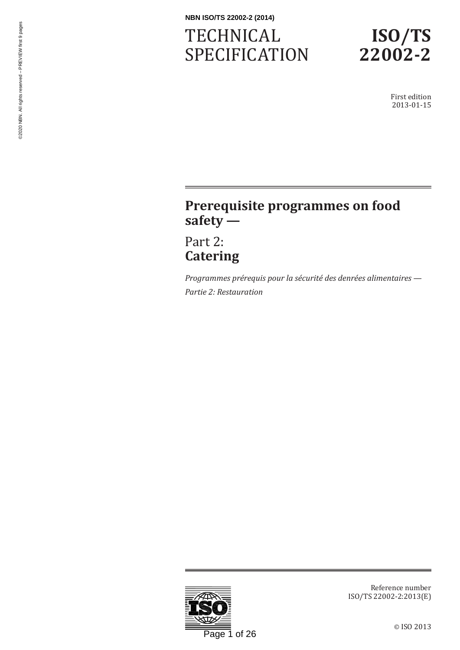# **TECHNICAL** SPECIFICATION



First edition 2013-01-15

## **Prerequisite programmes on food safety —**

Part 2: **Catering**

*Programmes prérequis pour la sécurité des denrées alimentaires — Partie 2: Restauration*



Reference number ISO/TS 22002-2:2013(E)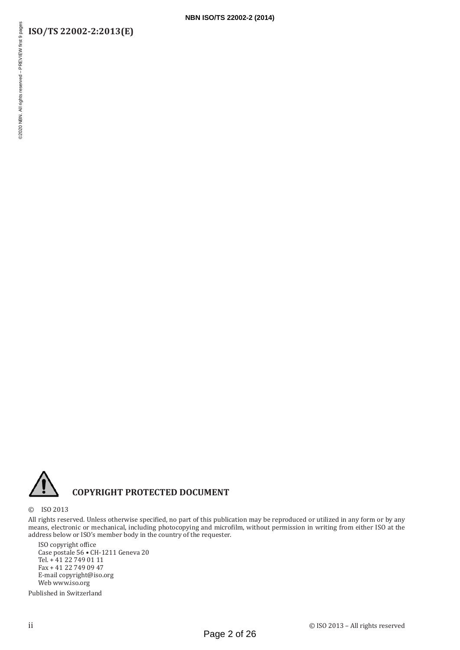#### **ISO/TS 22002-2:2013(E)**



#### **COPYRIGHT PROTECTED DOCUMENT**

© ISO 2013

All rights reserved. Unless otherwise specified, no part of this publication may be reproduced or utilized in any form or by any means, electronic or mechanical, including photocopying and microfilm, without permission in writing from either ISO at the address below or ISO's member body in the country of the requester.

ISO copyright office Case postale 56 • CH-1211 Geneva 20 Tel. + 41 22 749 01 11 Fax + 41 22 749 09 47 E-mail copyright@iso.org Web www.iso.org

Published in Switzerland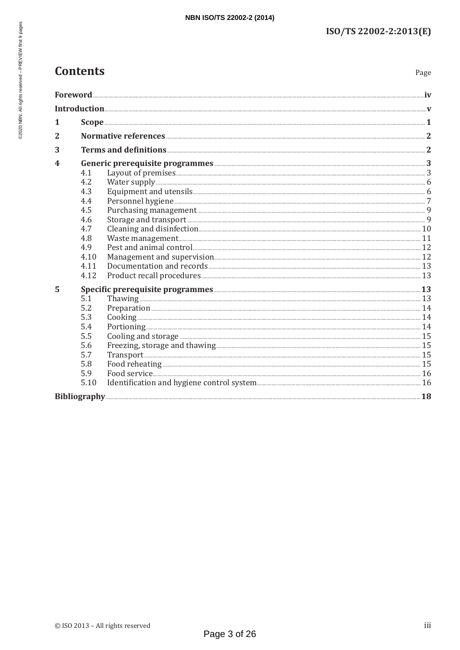## **Contents**

Page

| 1              |                                                            |                                                                                                                                                                                                                                |  |
|----------------|------------------------------------------------------------|--------------------------------------------------------------------------------------------------------------------------------------------------------------------------------------------------------------------------------|--|
| $\overline{2}$ |                                                            |                                                                                                                                                                                                                                |  |
| 3              |                                                            |                                                                                                                                                                                                                                |  |
| 4              | Generic prerequisite programmes                            |                                                                                                                                                                                                                                |  |
|                | 4.1                                                        |                                                                                                                                                                                                                                |  |
|                | 4.2                                                        |                                                                                                                                                                                                                                |  |
|                | 4.3                                                        |                                                                                                                                                                                                                                |  |
|                | 4.4                                                        |                                                                                                                                                                                                                                |  |
|                | 4.5                                                        |                                                                                                                                                                                                                                |  |
|                | 4.6                                                        |                                                                                                                                                                                                                                |  |
|                | 4.7                                                        |                                                                                                                                                                                                                                |  |
|                | 4.8                                                        |                                                                                                                                                                                                                                |  |
|                | 4.9                                                        | Pest and animal control 22 and animal control by the subset of the subset of the subset of the subset of the subset of the subset of the subset of the subset of the subset of the subset of the subset of the subset of the s |  |
|                | 4.10                                                       |                                                                                                                                                                                                                                |  |
|                | 4.11                                                       |                                                                                                                                                                                                                                |  |
|                | 4.12                                                       |                                                                                                                                                                                                                                |  |
| 5              | Specific prerequisite programmes <b>Manual Equation 23</b> |                                                                                                                                                                                                                                |  |
|                | 5.1                                                        |                                                                                                                                                                                                                                |  |
|                | 5.2                                                        |                                                                                                                                                                                                                                |  |
|                | 5.3                                                        |                                                                                                                                                                                                                                |  |
|                | 5.4                                                        |                                                                                                                                                                                                                                |  |
|                | 5.5                                                        |                                                                                                                                                                                                                                |  |
|                | 5.6                                                        |                                                                                                                                                                                                                                |  |
|                | 5.7                                                        |                                                                                                                                                                                                                                |  |
|                | 5.8                                                        |                                                                                                                                                                                                                                |  |
|                | 5.9                                                        |                                                                                                                                                                                                                                |  |
|                | 5.10                                                       |                                                                                                                                                                                                                                |  |
|                |                                                            |                                                                                                                                                                                                                                |  |
|                |                                                            |                                                                                                                                                                                                                                |  |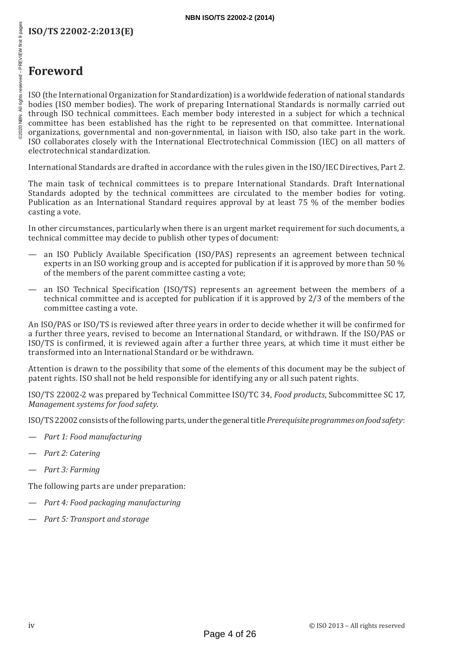## **Foreword**

ISO (the International Organization for Standardization) is a worldwide federation of national standards bodies (ISO member bodies). The work of preparing International Standards is normally carried out through ISO technical committees. Each member body interested in a subject for which a technical committee has been established has the right to be represented on that committee. International organizations, governmental and non-governmental, in liaison with ISO, also take part in the work. ISO collaborates closely with the International Electrotechnical Commission (IEC) on all matters of electrotechnical standardization.

International Standards are drafted in accordance with the rules given in the ISO/IEC Directives, Part 2.

The main task of technical committees is to prepare International Standards. Draft International Standards adopted by the technical committees are circulated to the member bodies for voting. Publication as an International Standard requires approval by at least 75 % of the member bodies casting a vote.

In other circumstances, particularly when there is an urgent market requirement for such documents, a technical committee may decide to publish other types of document:

- an ISO Publicly Available Specification (ISO/PAS) represents an agreement between technical experts in an ISO working group and is accepted for publication if it is approved by more than 50 % of the members of the parent committee casting a vote;
- an ISO Technical Specification (ISO/TS) represents an agreement between the members of a technical committee and is accepted for publication if it is approved by 2/3 of the members of the committee casting a vote.

An ISO/PAS or ISO/TS is reviewed after three years in order to decide whether it will be confirmed for a further three years, revised to become an International Standard, or withdrawn. If the ISO/PAS or ISO/TS is confirmed, it is reviewed again after a further three years, at which time it must either be transformed into an International Standard or be withdrawn.

Attention is drawn to the possibility that some of the elements of this document may be the subject of patent rights. ISO shall not be held responsible for identifying any or all such patent rights.

ISO/TS 22002-2 was prepared by Technical Committee ISO/TC 34, *Food products*, Subcommittee SC 17, *Management systems for food safety*.

ISO/TS22002 consists of the following parts, under the general title *Prerequisite programmes on food safety*:

- *Part 1: Food manufacturing*
- *Part 2: Catering*
- *Part 3: Farming*

The following parts are under preparation:

- *Part 4: Food packaging manufacturing*
- *Part 5: Transport and storage*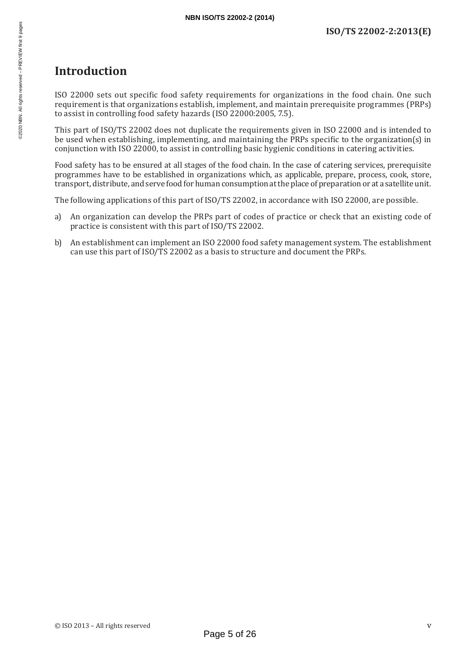### **Introduction**

ISO 22000 sets out specific food safety requirements for organizations in the food chain. One such requirement is that organizations establish, implement, and maintain prerequisite programmes (PRPs) to assist in controlling food safety hazards (ISO 22000:2005, 7.5).

This part of ISO/TS 22002 does not duplicate the requirements given in ISO 22000 and is intended to be used when establishing, implementing, and maintaining the PRPs specific to the organization(s) in conjunction with ISO 22000, to assist in controlling basic hygienic conditions in catering activities.

Food safety has to be ensured at all stages of the food chain. In the case of catering services, prerequisite programmes have to be established in organizations which, as applicable, prepare, process, cook, store, transport, distribute, and serve food for human consumption at the place of preparation or at a satellite unit.

The following applications of this part of ISO/TS 22002, in accordance with ISO 22000, are possible.

- a) An organization can develop the PRPs part of codes of practice or check that an existing code of practice is consistent with this part of ISO/TS 22002.
- b) An establishment can implement an ISO 22000 food safety management system. The establishment can use this part of ISO/TS 22002 as a basis to structure and document the PRPs.